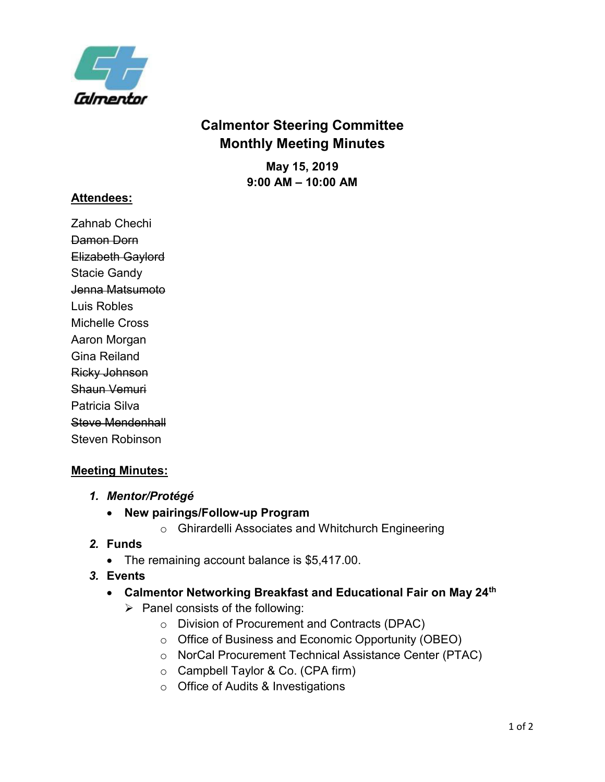

# **Calmentor Steering Committee Monthly Meeting Minutes**

**May 15, 2019 9:00 AM – 10:00 AM**

#### **Attendees:**

Zahnab Chechi Damon Dorn Elizabeth Gaylord Stacie Gandy Jenna Matsumoto Luis Robles Michelle Cross Aaron Morgan Gina Reiland Ricky Johnson Shaun Vemuri Patricia Silva Steve Mendenhall Steven Robinson

# **Meeting Minutes:**

- *1. Mentor/Protégé*
	- **New pairings/Follow-up Program**
		- o Ghirardelli Associates and Whitchurch Engineering

#### *2.* **Funds**

- The remaining account balance is \$5,417.00.
- *3.* **Events** 
	- **Calmentor Networking Breakfast and Educational Fair on May 24th**
		- $\triangleright$  Panel consists of the following:
			- o Division of Procurement and Contracts (DPAC)
			- o Office of Business and Economic Opportunity (OBEO)
			- o NorCal Procurement Technical Assistance Center (PTAC)
			- o Campbell Taylor & Co. (CPA firm)
			- o Office of Audits & Investigations